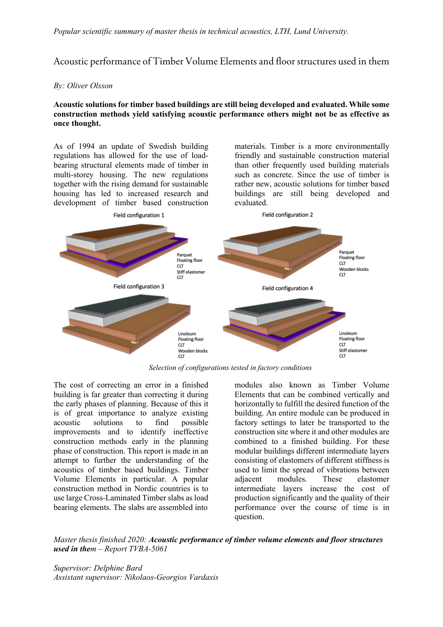## Acoustic performance of Timber Volume Elements and floor structures used in them

## *By: Oliver Olsson*

## **Acoustic solutions for timber based buildings are still being developed and evaluated. While some construction methods yield satisfying acoustic performance others might not be as effective as once thought.**

As of 1994 an update of Swedish building regulations has allowed for the use of loadbearing structural elements made of timber in multi-storey housing. The new regulations together with the rising demand for sustainable housing has led to increased research and development of timber based construction

materials. Timber is a more environmentally friendly and sustainable construction material than other frequently used building materials such as concrete. Since the use of timber is rather new, acoustic solutions for timber based buildings are still being developed and evaluated.



*Selection of configurations tested in factory conditions*

The cost of correcting an error in a finished building is far greater than correcting it during the early phases of planning. Because of this it is of great importance to analyze existing acoustic solutions to find possible improvements and to identify ineffective construction methods early in the planning phase of construction. This report is made in an attempt to further the understanding of the acoustics of timber based buildings. Timber Volume Elements in particular. A popular construction method in Nordic countries is to use large Cross-Laminated Timber slabs as load bearing elements. The slabs are assembled into

modules also known as Timber Volume Elements that can be combined vertically and horizontally to fulfill the desired function of the building. An entire module can be produced in factory settings to later be transported to the construction site where it and other modules are combined to a finished building. For these modular buildings different intermediate layers consisting of elastomers of different stiffness is used to limit the spread of vibrations between adjacent modules. These elastomer intermediate layers increase the cost of production significantly and the quality of their performance over the course of time is in question.

*Master thesis finished 2020: Acoustic performance of timber volume elements and floor structures used in them – Report TVBA-5061*

*Supervisor: Delphine Bard Assistant supervisor: Nikolaos-Georgios Vardaxis*